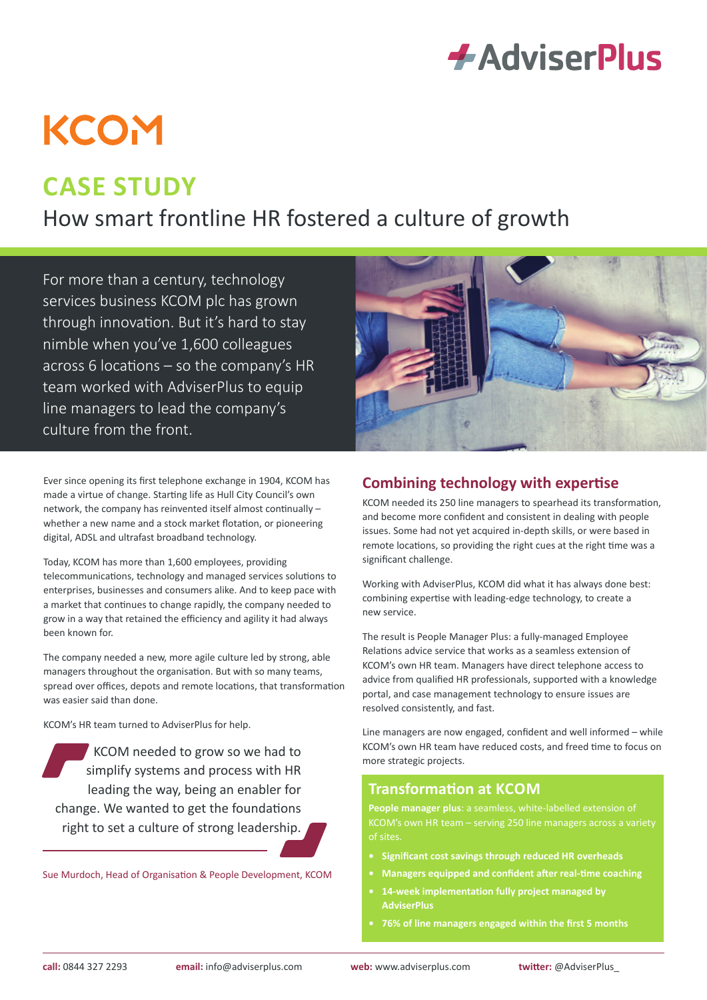

# **KCOM**

# **CASE STUDY**

How smart frontline HR fostered a culture of growth

For more than a century, technology services business KCOM plc has grown through innovation. But it's hard to stay nimble when you've 1,600 colleagues across 6 locations – so the company's HR team worked with AdviserPlus to equip line managers to lead the company's culture from the front.

Ever since opening its first telephone exchange in 1904, KCOM has made a virtue of change. Starting life as Hull City Council's own network, the company has reinvented itself almost continually – whether a new name and a stock market flotation, or pioneering digital, ADSL and ultrafast broadband technology.

Today, KCOM has more than 1,600 employees, providing telecommunications, technology and managed services solutions to enterprises, businesses and consumers alike. And to keep pace with a market that continues to change rapidly, the company needed to grow in a way that retained the efficiency and agility it had always been known for.

The company needed a new, more agile culture led by strong, able managers throughout the organisation. But with so many teams, spread over offices, depots and remote locations, that transformation was easier said than done.

KCOM's HR team turned to AdviserPlus for help.

KCOM needed to grow so we had to simplify systems and process with HR leading the way, being an enabler for change. We wanted to get the foundations right to set a culture of strong leadership.

Sue Murdoch, Head of Organisation & People Development, KCOM



### **Combining technology with expertise**

KCOM needed its 250 line managers to spearhead its transformation, and become more confident and consistent in dealing with people issues. Some had not yet acquired in-depth skills, or were based in remote locations, so providing the right cues at the right time was a significant challenge.

Working with AdviserPlus, KCOM did what it has always done best: combining expertise with leading-edge technology, to create a new service.

The result is People Manager Plus: a fully-managed Employee Relations advice service that works as a seamless extension of KCOM's own HR team. Managers have direct telephone access to advice from qualified HR professionals, supported with a knowledge portal, and case management technology to ensure issues are resolved consistently, and fast.

Line managers are now engaged, confident and well informed – while KCOM's own HR team have reduced costs, and freed time to focus on more strategic projects.

# **Transformation at KCOM**

**People manager plus**: a seamless, white-labelled extension of KCOM's own HR team – serving 250 line managers across a variety

- **• Significant cost savings through reduced HR overheads**
- **• Managers equipped and confident after real-time coaching**
- **• 14-week implementation fully project managed by AdviserPlus**
- **• 76% of line managers engaged within the first 5 months**